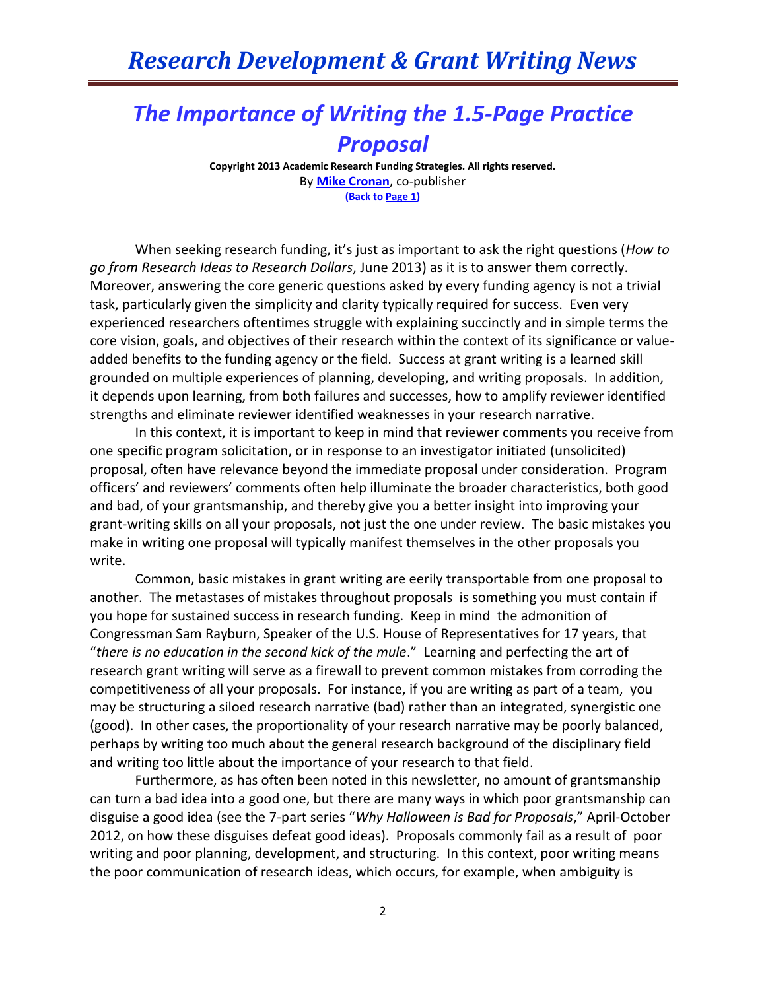## *Research Development & Grant Writing News*

## *The Importance of Writing the 1.5-Page Practice Proposal*

**Copyright 2013 Academic Research Funding Strategies. All rights reserved.** By **[Mike Cronan](mailto:mjcronan@gmail.com)**, co-publisher **(Back to Page 1)**

When seeking research funding, it's just as important to ask the right questions (*How to go from Research Ideas to Research Dollars*, June 2013) as it is to answer them correctly. Moreover, answering the core generic questions asked by every funding agency is not a trivial task, particularly given the simplicity and clarity typically required for success. Even very experienced researchers oftentimes struggle with explaining succinctly and in simple terms the core vision, goals, and objectives of their research within the context of its significance or valueadded benefits to the funding agency or the field. Success at grant writing is a learned skill grounded on multiple experiences of planning, developing, and writing proposals. In addition, it depends upon learning, from both failures and successes, how to amplify reviewer identified strengths and eliminate reviewer identified weaknesses in your research narrative.

In this context, it is important to keep in mind that reviewer comments you receive from one specific program solicitation, or in response to an investigator initiated (unsolicited) proposal, often have relevance beyond the immediate proposal under consideration. Program officers' and reviewers' comments often help illuminate the broader characteristics, both good and bad, of your grantsmanship, and thereby give you a better insight into improving your grant-writing skills on all your proposals, not just the one under review. The basic mistakes you make in writing one proposal will typically manifest themselves in the other proposals you write.

Common, basic mistakes in grant writing are eerily transportable from one proposal to another. The metastases of mistakes throughout proposals is something you must contain if you hope for sustained success in research funding. Keep in mind the admonition of Congressman Sam Rayburn, Speaker of the U.S. House of Representatives for 17 years, that "*there is no education in the second kick of the mule*." Learning and perfecting the art of research grant writing will serve as a firewall to prevent common mistakes from corroding the competitiveness of all your proposals. For instance, if you are writing as part of a team, you may be structuring a siloed research narrative (bad) rather than an integrated, synergistic one (good). In other cases, the proportionality of your research narrative may be poorly balanced, perhaps by writing too much about the general research background of the disciplinary field and writing too little about the importance of your research to that field.

Furthermore, as has often been noted in this newsletter, no amount of grantsmanship can turn a bad idea into a good one, but there are many ways in which poor grantsmanship can disguise a good idea (see the 7-part series "*Why Halloween is Bad for Proposals*," April-October 2012, on how these disguises defeat good ideas). Proposals commonly fail as a result of poor writing and poor planning, development, and structuring. In this context, poor writing means the poor communication of research ideas, which occurs, for example, when ambiguity is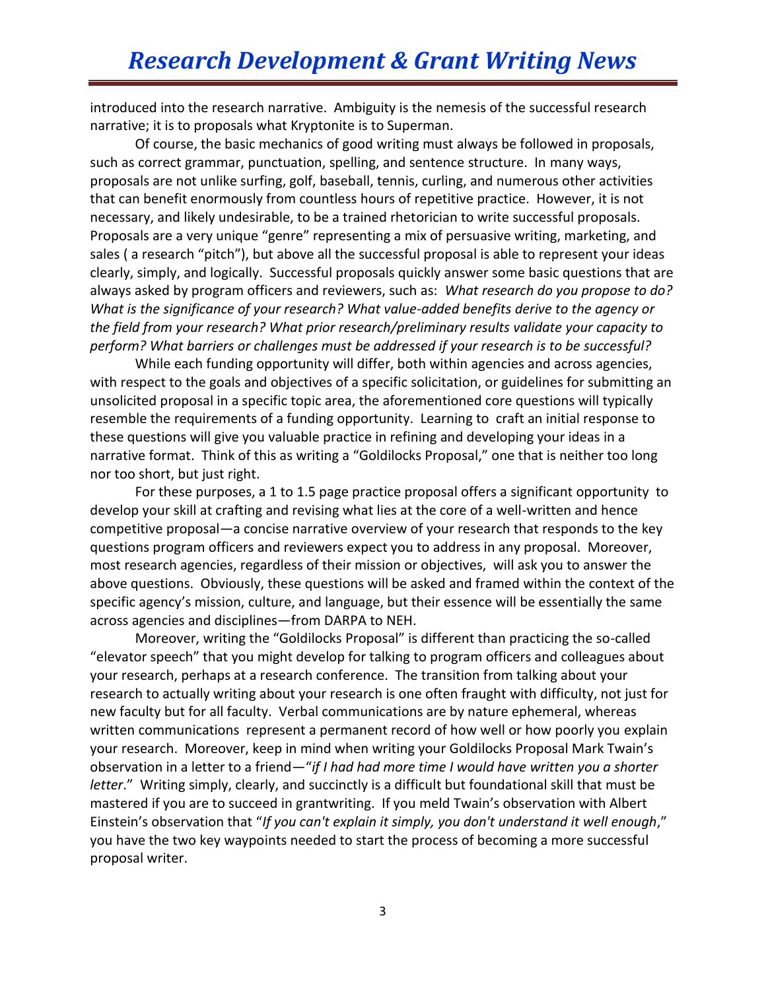introduced into the research narrative. Ambiguity is the nemesis of the successful research narrative; it is to proposals what Kryptonite is to Superman.

Of course, the basic mechanics of good writing must always be followed in proposals, such as correct grammar, punctuation, spelling, and sentence structure. In many ways, proposals are not unlike surfing, golf, baseball, tennis, curling, and numerous other activities that can benefit enormously from countless hours of repetitive practice. However, it is not necessary, and likely undesirable, to be a trained rhetorician to write successful proposals. Proposals are a very unique "genre" representing a mix of persuasive writing, marketing, and sales ( a research "pitch"), but above all the successful proposal is able to represent your ideas clearly, simply, and logically. Successful proposals quickly answer some basic questions that are always asked by program officers and reviewers, such as: *What research do you propose to do? What is the significance of your research? What value-added benefits derive to the agency or the field from your research? What prior research/preliminary results validate your capacity to perform? What barriers or challenges must be addressed if your research is to be successful?*

While each funding opportunity will differ, both within agencies and across agencies, with respect to the goals and objectives of a specific solicitation, or guidelines for submitting an unsolicited proposal in a specific topic area, the aforementioned core questions will typically resemble the requirements of a funding opportunity. Learning to craft an initial response to these questions will give you valuable practice in refining and developing your ideas in a narrative format. Think of this as writing a "Goldilocks Proposal," one that is neither too long nor too short, but just right.

For these purposes, a 1 to 1.5 page practice proposal offers a significant opportunity to develop your skill at crafting and revising what lies at the core of a well-written and hence competitive proposal—a concise narrative overview of your research that responds to the key questions program officers and reviewers expect you to address in any proposal. Moreover, most research agencies, regardless of their mission or objectives, will ask you to answer the above questions. Obviously, these questions will be asked and framed within the context of the specific agency's mission, culture, and language, but their essence will be essentially the same across agencies and disciplines—from DARPA to NEH.

Moreover, writing the "Goldilocks Proposal" is different than practicing the so-called "elevator speech" that you might develop for talking to program officers and colleagues about your research, perhaps at a research conference. The transition from talking about your research to actually writing about your research is one often fraught with difficulty, not just for new faculty but for all faculty. Verbal communications are by nature ephemeral, whereas written communications represent a permanent record of how well or how poorly you explain your research. Moreover, keep in mind when writing your Goldilocks Proposal Mark Twain's observation in a letter to a friend—"*if I had had more time I would have written you a shorter letter*." Writing simply, clearly, and succinctly is a difficult but foundational skill that must be mastered if you are to succeed in grantwriting. If you meld Twain's observation with Albert Einstein's observation that "*If you can't explain it simply, you don't understand it well enough*," you have the two key waypoints needed to start the process of becoming a more successful proposal writer.